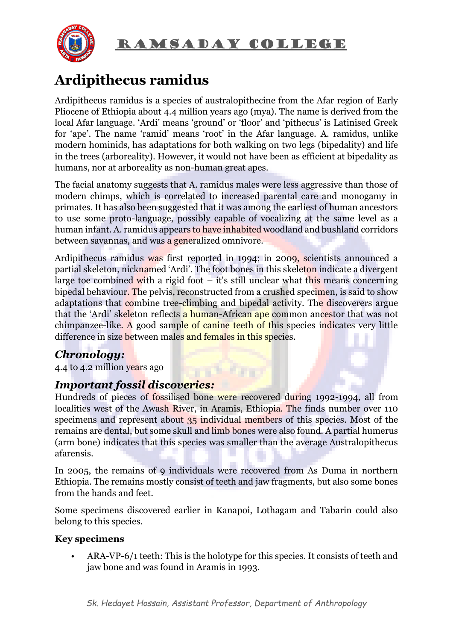

# **Ardipithecus ramidus**

Ardipithecus ramidus is a species of australopithecine from the Afar region of Early Pliocene of Ethiopia about 4.4 million years ago (mya). The name is derived from the local Afar language. 'Ardi' means 'ground' or 'floor' and 'pithecus' is Latinised Greek for 'ape'. The name 'ramid' means 'root' in the Afar language. A. ramidus, unlike modern hominids, has adaptations for both walking on two legs (bipedality) and life in the trees (arboreality). However, it would not have been as efficient at bipedality as humans, nor at arboreality as non-human great apes.

The facial anatomy suggests that A. ramidus males were less aggressive than those of modern chimps, which is correlated to increased parental care and monogamy in primates. It has also been suggested that it was among the earliest of human ancestors to use some proto-language, possibly capable of vocalizing at the same level as a human infant. A. ramidus appears to have inhabited woodland and bushland corridors between savannas, and was a generalized omnivore.

Ardipithecus ramidus was first reported in 1994; in 2009, scientists announced a partial skeleton, nicknamed 'Ardi'. The foot bones in this skeleton indicate a divergent large toe combined with a rigid foot  $-$  it's still unclear what this means concerning bipedal behaviour. The pelvis, reconstructed from a crushed specimen, is said to show adaptations that combine tree-climbing and bipedal activity. The discoverers argue that the 'Ardi' skeleton reflects a human-African ape common ancestor that was not chimpanzee-like. A good sample of canine teeth of this species indicates very little difference in size between males and females in this species.

## *Chronology:*

4.4 to 4.2 million years ago

### *Important fossil discoveries:*

Hundreds of pieces of fossilised bone were recovered during 1992-1994, all from localities west of the Awash River, in Aramis, Ethiopia. The finds number over 110 specimens and represent about 35 individual members of this species. Most of the remains are dental, but some skull and limb bones were also found. A partial humerus (arm bone) indicates that this species was smaller than the average Australopithecus afarensis.

r i beleta

In 2005, the remains of 9 individuals were recovered from As Duma in northern Ethiopia. The remains mostly consist of teeth and jaw fragments, but also some bones from the hands and feet.

Some specimens discovered earlier in Kanapoi, Lothagam and Tabarin could also belong to this species.

#### **Key specimens**

• ARA-VP-6/1 teeth: This is the holotype for this species. It consists of teeth and jaw bone and was found in Aramis in 1993.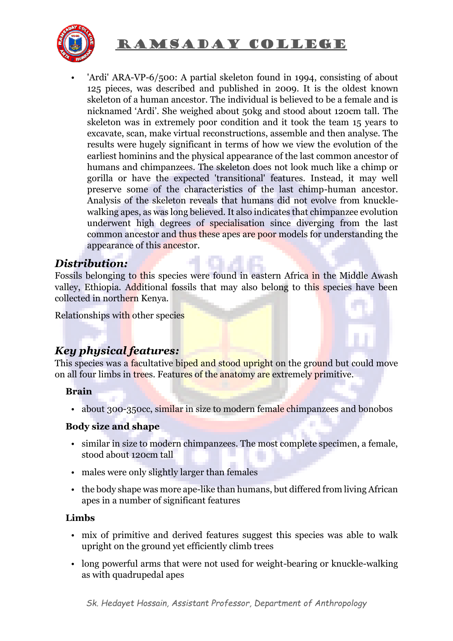

• 'Ardi' ARA-VP-6/500: A partial skeleton found in 1994, consisting of about 125 pieces, was described and published in 2009. It is the oldest known skeleton of a human ancestor. The individual is believed to be a female and is nicknamed 'Ardi'. She weighed about 50kg and stood about 120cm tall. The skeleton was in extremely poor condition and it took the team 15 years to excavate, scan, make virtual reconstructions, assemble and then analyse. The results were hugely significant in terms of how we view the evolution of the earliest hominins and the physical appearance of the last common ancestor of humans and chimpanzees. The skeleton does not look much like a chimp or gorilla or have the expected 'transitional' features. Instead, it may well preserve some of the characteristics of the last chimp-human ancestor. Analysis of the skeleton reveals that humans did not evolve from knucklewalking apes, as was long believed. It also indicates that chimpanzee evolution underwent high degrees of specialisation since diverging from the last common ancestor and thus these apes are poor models for understanding the appearance of this ancestor.

#### *Distribution:*

Fossils belonging to this species were found in eastern Africa in the Middle Awash valley, Ethiopia. Additional fossils that may also belong to this species have been collected in northern Kenya.

Relationships with other species

## *Key physical features:*

This species was a facultative biped and stood upright on the ground but could move on all four limbs in trees. Features of the anatomy are extremely primitive.

#### **Brain**

• about 300-350cc, similar in size to modern female chimpanzees and bonobos

#### **Body size and shape**

- similar in size to modern chimpanzees. The most complete specimen, a female, stood about 120cm tall
- males were only slightly larger than females
- the body shape was more ape-like than humans, but differed from living African apes in a number of significant features

#### **Limbs**

- mix of primitive and derived features suggest this species was able to walk upright on the ground yet efficiently climb trees
- long powerful arms that were not used for weight-bearing or knuckle-walking as with quadrupedal apes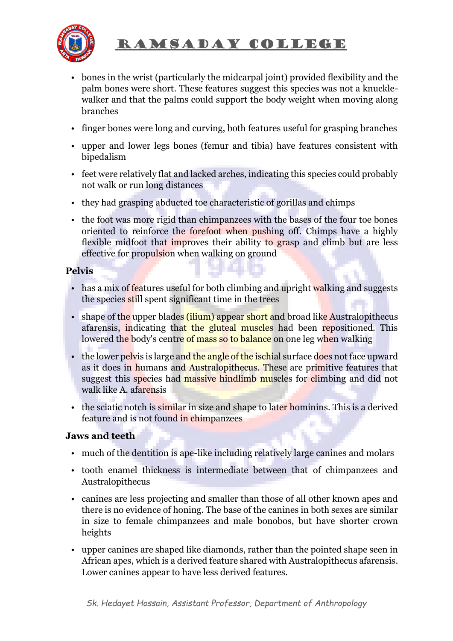

- bones in the wrist (particularly the midcarpal joint) provided flexibility and the palm bones were short. These features suggest this species was not a knucklewalker and that the palms could support the body weight when moving along branches
- finger bones were long and curving, both features useful for grasping branches
- upper and lower legs bones (femur and tibia) have features consistent with bipedalism
- feet were relatively flat and lacked arches, indicating this species could probably not walk or run long distances
- they had grasping abducted toe characteristic of gorillas and chimps
- the foot was more rigid than chimpanzees with the bases of the four toe bones oriented to reinforce the forefoot when pushing off. Chimps have a highly flexible midfoot that improves their ability to grasp and climb but are less effective for propulsion when walking on ground

#### **Pelvis**

- has a mix of features useful for both climbing and upright walking and suggests the species still spent significant time in the trees
- shape of the upper blades (ilium) appear short and broad like Australopithecus afarensis, indicating that the gluteal muscles had been repositioned. This lowered the body's centre of mass so to balance on one leg when walking
- the lower pelvis is large and the angle of the ischial surface does not face upward as it does in humans and Australopithecus. These are primitive features that suggest this species had massive hindlimb muscles for climbing and did not walk like A. afarensis
- the sciatic notch is similar in size and shape to later hominins. This is a derived feature and is not found in chimpanzees

#### **Jaws and teeth**

- much of the dentition is ape-like including relatively large canines and molars
- tooth enamel thickness is intermediate between that of chimpanzees and Australopithecus
- canines are less projecting and smaller than those of all other known apes and there is no evidence of honing. The base of the canines in both sexes are similar in size to female chimpanzees and male bonobos, but have shorter crown heights
- upper canines are shaped like diamonds, rather than the pointed shape seen in African apes, which is a derived feature shared with Australopithecus afarensis. Lower canines appear to have less derived features.